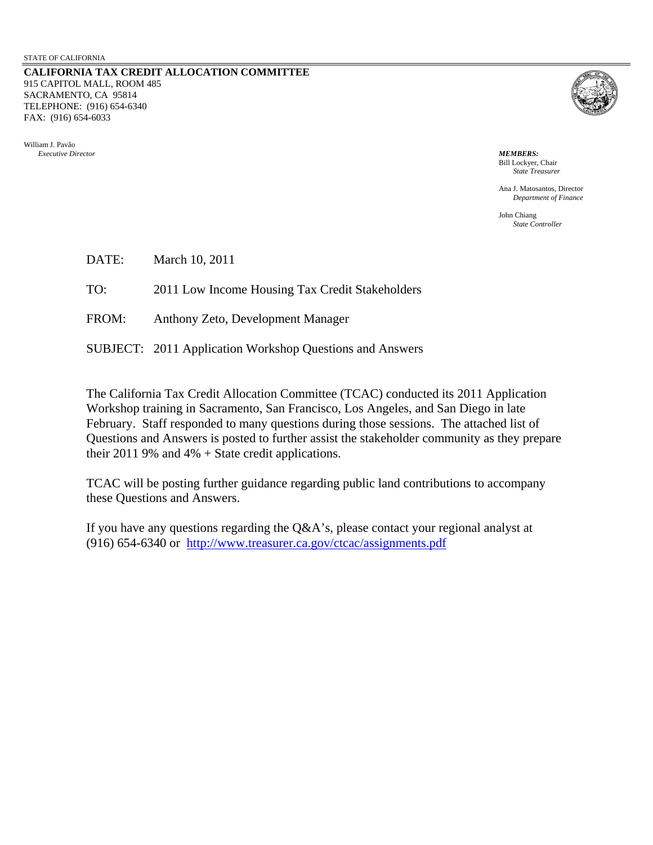**CALIFORNIA TAX CREDI T ALLOCATION COMMITTEE** 915 CAPITOL MALL, ROOM 485 SACRAMENTO, CA 95814 ELEPHONE: (916) 654-6340 T FAX: (916) 654-6033

William J. Pavão *Executive Director*



*MEMBERS:* Bill Lockyer, Chair *State Treasurer*

Ana J. Matosantos, Director *Department of Finance* 

> John Chiang *State Controller*

DATE: March 10, 2011

TO: 2011 Low Income Housing Tax Credit Stakeholders

FROM: Anthony Zeto, Development Manager

SUBJECT: 2011 Application Workshop Questions and Answers

February. Staff responded to many questions during those sessions. The attached list of Questions and Answers is posted to further assist the stakeholder community as they prepare The California Tax Credit Allocation Committee (TCAC) conducted its 2011 Application Workshop training in Sacramento, San Francisco, Los Angeles, and San Diego in late their 2011 9% and 4%  $+$  State credit applications.

TCAC will be posting further guidance regarding public land contributions to accompany these Questions and Answers.

If you have any questions regarding the Q&A's, please contact your regional analyst at (916) 654-6340 or http://www.treasurer.ca.gov/ctcac/assignments.pdf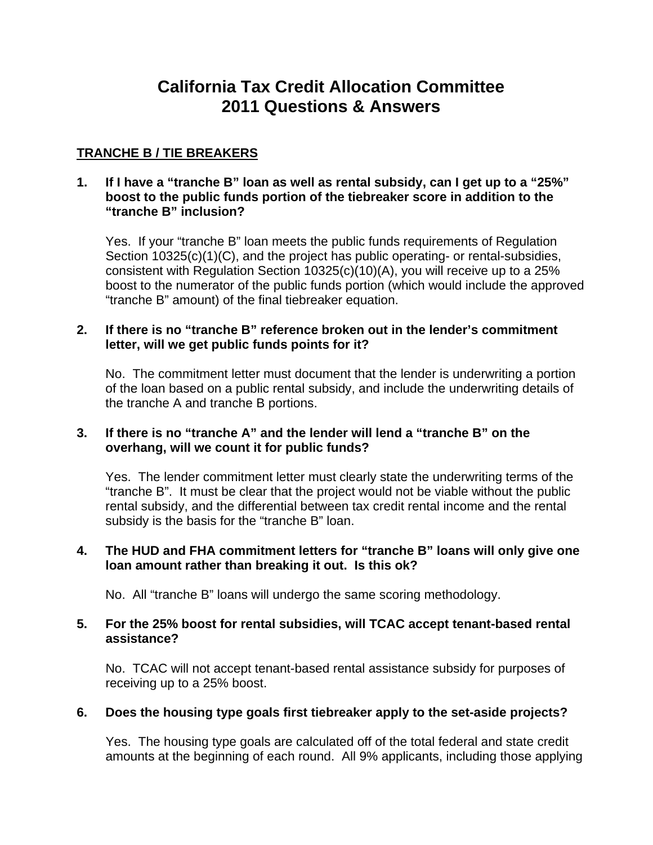# **California Tax Credit Allocation Committee 2011 Questions & Answers**

## **TRANCHE B / TIE BREAKERS**

### **1. If I have a "tranche B" loan as well as rental subsidy, can I get up to a "25%" boost to the public funds portion of the tiebreaker score in addition to the "tranche B" inclusion?**

Yes. If your "tranche B" loan meets the public funds requirements of Regulation Section 10325(c)(1)(C), and the project has public operating- or rental-subsidies, consistent with Regulation Section 10325(c)(10)(A), you will receive up to a 25% boost to the numerator of the public funds portion (which would include the approved "tranche B" amount) of the final tiebreaker equation.

## **2. If there is no "tranche B" reference broken out in the lender's commitment letter, will we get public funds points for it?**

No. The commitment letter must document that the lender is underwriting a portion of the loan based on a public rental subsidy, and include the underwriting details of the tranche A and tranche B portions.

## **3. If there is no "tranche A" and the lender will lend a "tranche B" on the overhang, will we count it for public funds?**

Yes. The lender commitment letter must clearly state the underwriting terms of the "tranche B". It must be clear that the project would not be viable without the public rental subsidy, and the differential between tax credit rental income and the rental subsidy is the basis for the "tranche B" loan.

#### **4. The HUD and FHA commitment letters for "tranche B" loans will only give one loan amount rather than breaking it out. Is this ok?**

No. All "tranche B" loans will undergo the same scoring methodology.

## **5. For the 25% boost for rental subsidies, will TCAC accept tenant-based rental assistance?**

No. TCAC will not accept tenant-based rental assistance subsidy for purposes of receiving up to a 25% boost.

## **6. Does the housing type goals first tiebreaker apply to the set-aside projects?**

Yes. The housing type goals are calculated off of the total federal and state credit amounts at the beginning of each round. All 9% applicants, including those applying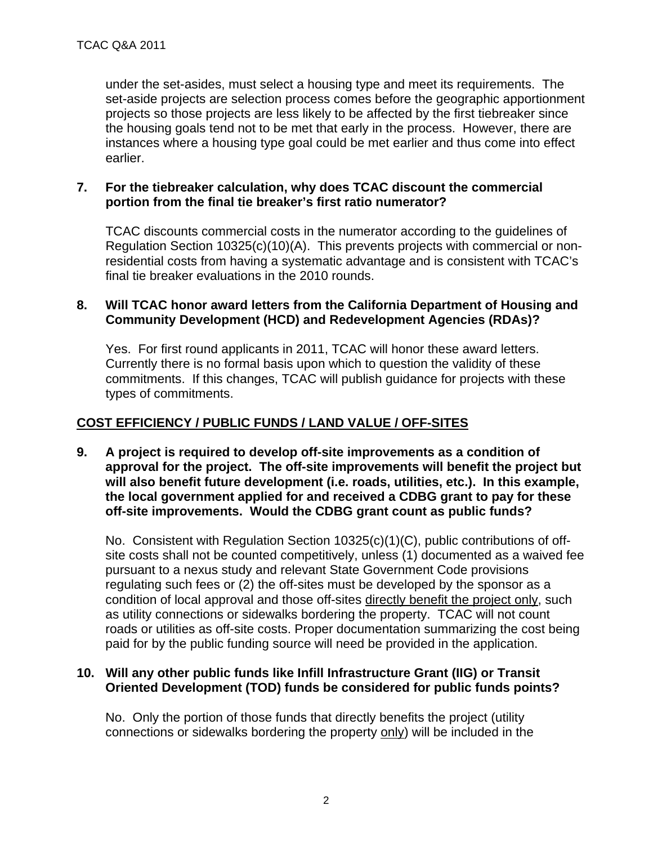under the set-asides, must select a housing type and meet its requirements. The set-aside projects are selection process comes before the geographic apportionment projects so those projects are less likely to be affected by the first tiebreaker since the housing goals tend not to be met that early in the process. However, there are instances where a housing type goal could be met earlier and thus come into effect earlier.

## **7. For the tiebreaker calculation, why does TCAC discount the commercial portion from the final tie breaker's first ratio numerator?**

TCAC discounts commercial costs in the numerator according to the guidelines of Regulation Section 10325(c)(10)(A). This prevents projects with commercial or nonresidential costs from having a systematic advantage and is consistent with TCAC's final tie breaker evaluations in the 2010 rounds.

#### **8. Will TCAC honor award letters from the California Department of Housing and Community Development (HCD) and Redevelopment Agencies (RDAs)?**

Yes. For first round applicants in 2011, TCAC will honor these award letters. Currently there is no formal basis upon which to question the validity of these commitments. If this changes, TCAC will publish guidance for projects with these types of commitments.

## **COST EFFICIENCY / PUBLIC FUNDS / LAND VALUE / OFF-SITES**

**9. A project is required to develop off-site improvements as a condition of approval for the project. The off-site improvements will benefit the project but will also benefit future development (i.e. roads, utilities, etc.). In this example, the local government applied for and received a CDBG grant to pay for these off-site improvements. Would the CDBG grant count as public funds?** 

No. Consistent with Regulation Section 10325(c)(1)(C), public contributions of offsite costs shall not be counted competitively, unless (1) documented as a waived fee pursuant to a nexus study and relevant State Government Code provisions regulating such fees or (2) the off-sites must be developed by the sponsor as a condition of local approval and those off-sites directly benefit the project only, such as utility connections or sidewalks bordering the property. TCAC will not count roads or utilities as off-site costs. Proper documentation summarizing the cost being paid for by the public funding source will need be provided in the application.

## **10. Will any other public funds like Infill Infrastructure Grant (IIG) or Transit Oriented Development (TOD) funds be considered for public funds points?**

No. Only the portion of those funds that directly benefits the project (utility connections or sidewalks bordering the property only) will be included in the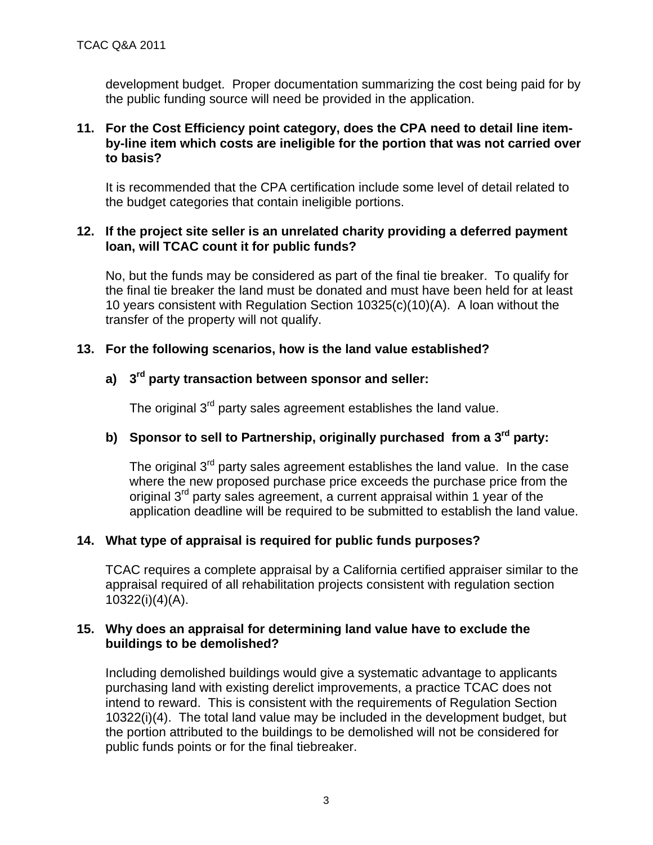development budget. Proper documentation summarizing the cost being paid for by the public funding source will need be provided in the application.

## **11. For the Cost Efficiency point category, does the CPA need to detail line itemby-line item which costs are ineligible for the portion that was not carried over to basis?**

It is recommended that the CPA certification include some level of detail related to the budget categories that contain ineligible portions.

## **12. If the project site seller is an unrelated charity providing a deferred payment loan, will TCAC count it for public funds?**

No, but the funds may be considered as part of the final tie breaker. To qualify for the final tie breaker the land must be donated and must have been held for at least 10 years consistent with Regulation Section 10325(c)(10)(A). A loan without the transfer of the property will not qualify.

## **13. For the following scenarios, how is the land value established?**

## **a) 3rd party transaction between sponsor and seller:**

The original 3<sup>rd</sup> party sales agreement establishes the land value.

## **b)** Sponsor to sell to Partnership, originally purchased from a 3<sup>rd</sup> party:

The original 3<sup>rd</sup> party sales agreement establishes the land value. In the case where the new proposed purchase price exceeds the purchase price from the original 3rd party sales agreement, a current appraisal within 1 year of the application deadline will be required to be submitted to establish the land value.

## **14. What type of appraisal is required for public funds purposes?**

TCAC requires a complete appraisal by a California certified appraiser similar to the appraisal required of all rehabilitation projects consistent with regulation section 10322(i)(4)(A).

#### **15. Why does an appraisal for determining land value have to exclude the buildings to be demolished?**

Including demolished buildings would give a systematic advantage to applicants purchasing land with existing derelict improvements, a practice TCAC does not intend to reward. This is consistent with the requirements of Regulation Section 10322(i)(4). The total land value may be included in the development budget, but the portion attributed to the buildings to be demolished will not be considered for public funds points or for the final tiebreaker.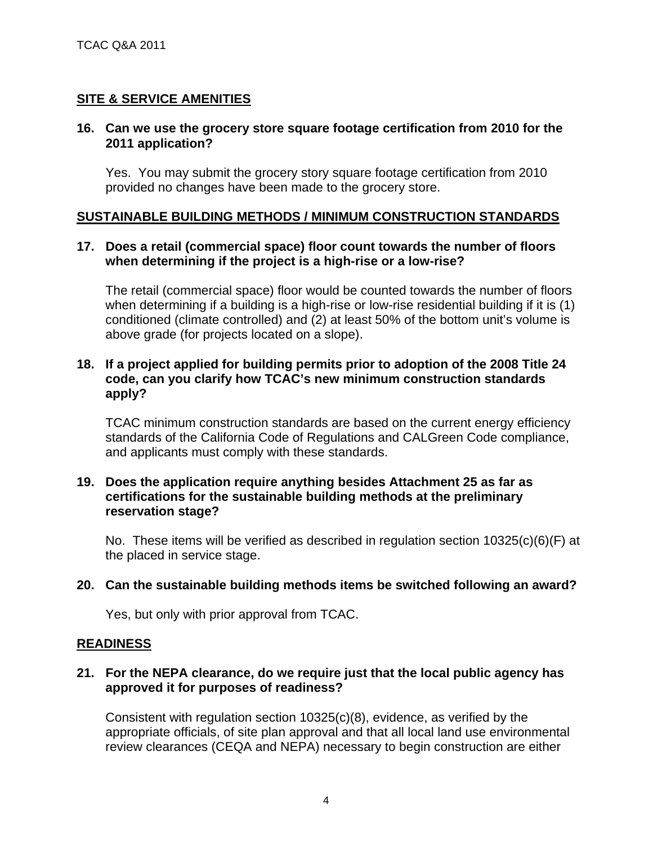## **SITE & SERVICE AMENITIES**

#### **16. Can we use the grocery store square footage certification from 2010 for the 2011 application?**

Yes. You may submit the grocery story square footage certification from 2010 provided no changes have been made to the grocery store.

#### **SUSTAINABLE BUILDING METHODS / MINIMUM CONSTRUCTION STANDARDS**

## **17. Does a retail (commercial space) floor count towards the number of floors when determining if the project is a high-rise or a low-rise?**

The retail (commercial space) floor would be counted towards the number of floors when determining if a building is a high-rise or low-rise residential building if it is (1) conditioned (climate controlled) and (2) at least 50% of the bottom unit's volume is above grade (for projects located on a slope).

## **18. If a project applied for building permits prior to adoption of the 2008 Title 24 code, can you clarify how TCAC's new minimum construction standards apply?**

TCAC minimum construction standards are based on the current energy efficiency standards of the California Code of Regulations and CALGreen Code compliance, and applicants must comply with these standards.

#### **19. Does the application require anything besides Attachment 25 as far as certifications for the sustainable building methods at the preliminary reservation stage?**

No. These items will be verified as described in regulation section 10325(c)(6)(F) at the placed in service stage.

## **20. Can the sustainable building methods items be switched following an award?**

Yes, but only with prior approval from TCAC.

#### **READINESS**

#### **21. For the NEPA clearance, do we require just that the local public agency has approved it for purposes of readiness?**

Consistent with regulation section 10325(c)(8), evidence, as verified by the appropriate officials, of site plan approval and that all local land use environmental review clearances (CEQA and NEPA) necessary to begin construction are either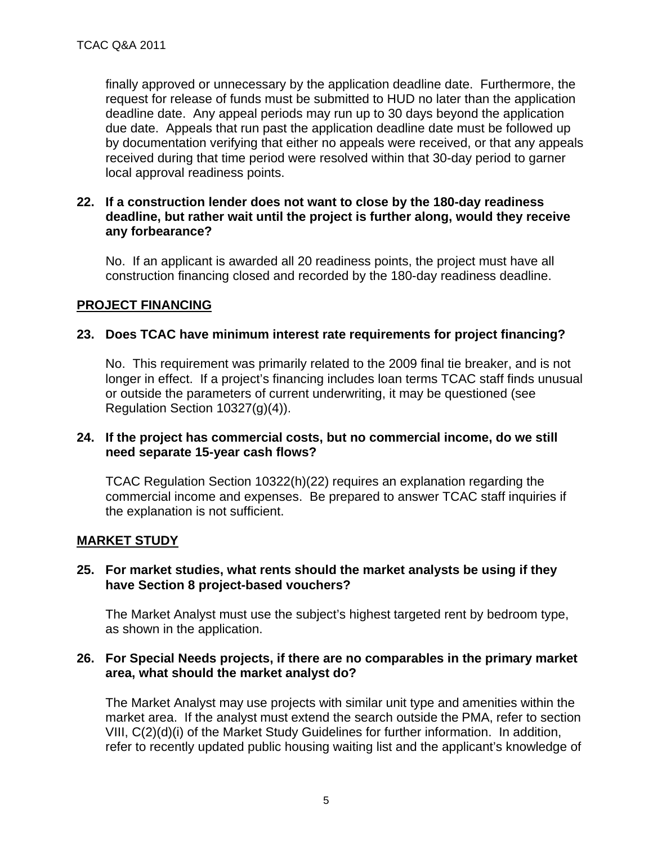finally approved or unnecessary by the application deadline date. Furthermore, the request for release of funds must be submitted to HUD no later than the application deadline date. Any appeal periods may run up to 30 days beyond the application due date. Appeals that run past the application deadline date must be followed up by documentation verifying that either no appeals were received, or that any appeals received during that time period were resolved within that 30-day period to garner local approval readiness points.

#### **22. If a construction lender does not want to close by the 180-day readiness deadline, but rather wait until the project is further along, would they receive any forbearance?**

No. If an applicant is awarded all 20 readiness points, the project must have all construction financing closed and recorded by the 180-day readiness deadline.

#### **PROJECT FINANCING**

## **23. Does TCAC have minimum interest rate requirements for project financing?**

No. This requirement was primarily related to the 2009 final tie breaker, and is not longer in effect. If a project's financing includes loan terms TCAC staff finds unusual or outside the parameters of current underwriting, it may be questioned (see Regulation Section 10327(g)(4)).

## **24. If the project has commercial costs, but no commercial income, do we still need separate 15-year cash flows?**

TCAC Regulation Section 10322(h)(22) requires an explanation regarding the commercial income and expenses. Be prepared to answer TCAC staff inquiries if the explanation is not sufficient.

#### **MARKET STUDY**

#### **25. For market studies, what rents should the market analysts be using if they have Section 8 project-based vouchers?**

The Market Analyst must use the subject's highest targeted rent by bedroom type, as shown in the application.

#### **26. For Special Needs projects, if there are no comparables in the primary market area, what should the market analyst do?**

The Market Analyst may use projects with similar unit type and amenities within the market area. If the analyst must extend the search outside the PMA, refer to section VIII, C(2)(d)(i) of the Market Study Guidelines for further information. In addition, refer to recently updated public housing waiting list and the applicant's knowledge of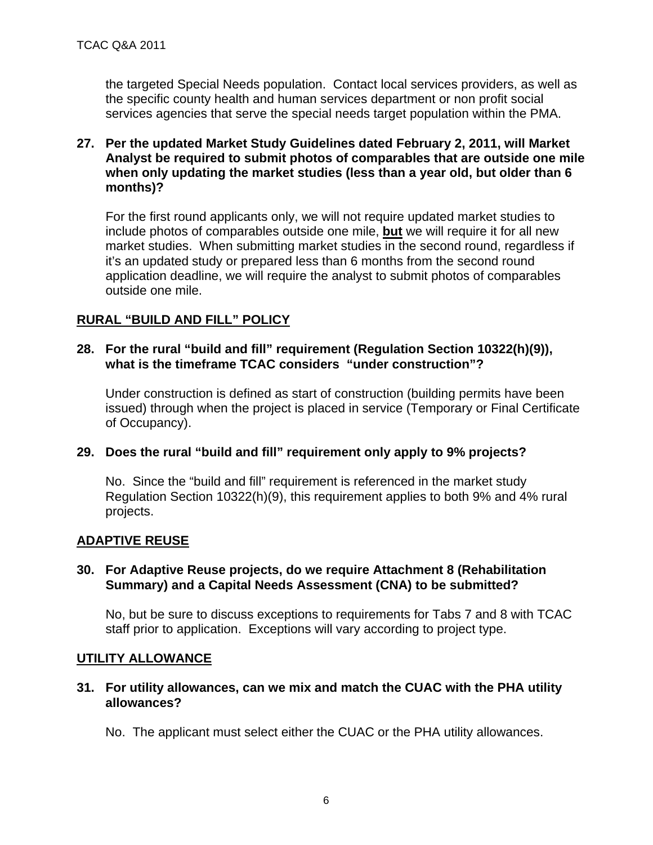the targeted Special Needs population. Contact local services providers, as well as the specific county health and human services department or non profit social services agencies that serve the special needs target population within the PMA.

## **27. Per the updated Market Study Guidelines dated February 2, 2011, will Market Analyst be required to submit photos of comparables that are outside one mile when only updating the market studies (less than a year old, but older than 6 months)?**

For the first round applicants only, we will not require updated market studies to include photos of comparables outside one mile, **but** we will require it for all new market studies. When submitting market studies in the second round, regardless if it's an updated study or prepared less than 6 months from the second round application deadline, we will require the analyst to submit photos of comparables outside one mile.

## **RURAL "BUILD AND FILL" POLICY**

## **28. For the rural "build and fill" requirement (Regulation Section 10322(h)(9)), what is the timeframe TCAC considers "under construction"?**

Under construction is defined as start of construction (building permits have been issued) through when the project is placed in service (Temporary or Final Certificate of Occupancy).

## **29. Does the rural "build and fill" requirement only apply to 9% projects?**

No. Since the "build and fill" requirement is referenced in the market study Regulation Section 10322(h)(9), this requirement applies to both 9% and 4% rural projects.

## **ADAPTIVE REUSE**

## **30. For Adaptive Reuse projects, do we require Attachment 8 (Rehabilitation Summary) and a Capital Needs Assessment (CNA) to be submitted?**

No, but be sure to discuss exceptions to requirements for Tabs 7 and 8 with TCAC staff prior to application. Exceptions will vary according to project type.

#### **UTILITY ALLOWANCE**

**31. For utility allowances, can we mix and match the CUAC with the PHA utility allowances?** 

No. The applicant must select either the CUAC or the PHA utility allowances.